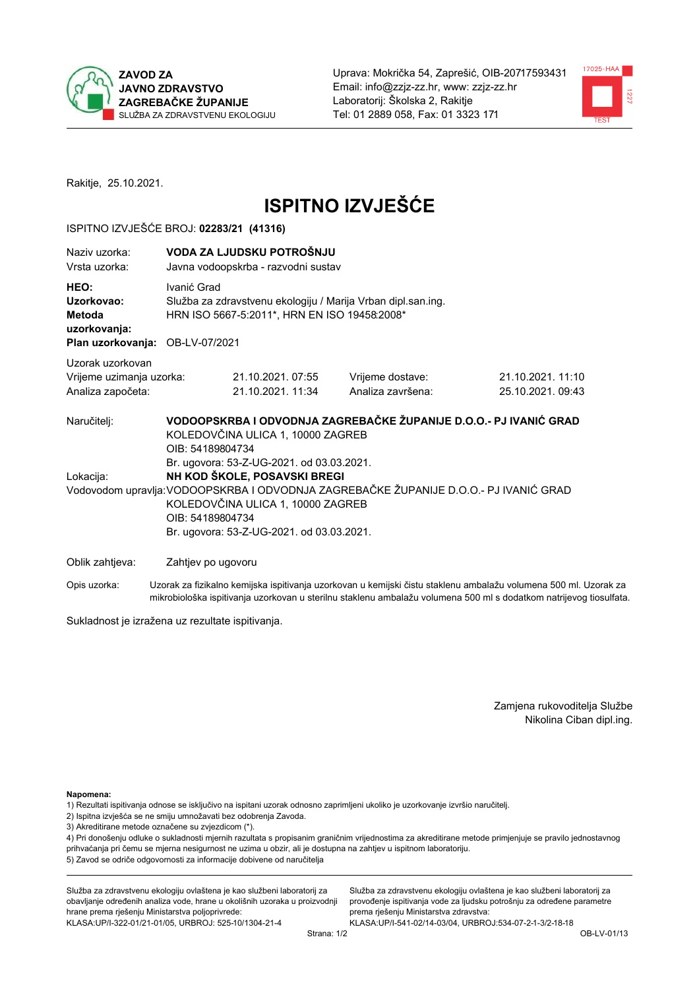



Rakitje, 25.10.2021.

# **ISPITNO IZVJEŠĆE**

#### ISPITNO IZVJEŠĆE BROJ: 02283/21 (41316)

| Naziv uzorka:<br>Vrsta uzorka:                                                  |                                                                                                                                                                                                                                                                          | VODA ZA LJUDSKU POTROŠNJU<br>Javna vodoopskrba - razvodni sustav                                             |                                                                   |                                      |  |
|---------------------------------------------------------------------------------|--------------------------------------------------------------------------------------------------------------------------------------------------------------------------------------------------------------------------------------------------------------------------|--------------------------------------------------------------------------------------------------------------|-------------------------------------------------------------------|--------------------------------------|--|
| HEO:<br>Uzorkovao:<br>Metoda<br>uzorkovanja:<br>Plan uzorkovanja: OB-LV-07/2021 | Ivanić Grad                                                                                                                                                                                                                                                              | Služba za zdravstvenu ekologiju / Marija Vrban dipl.san.ing.<br>HRN ISO 5667-5:2011*, HRN EN ISO 19458:2008* |                                                                   |                                      |  |
| Uzorak uzorkovan                                                                |                                                                                                                                                                                                                                                                          |                                                                                                              |                                                                   |                                      |  |
| Vrijeme uzimanja uzorka:<br>Analiza započeta:                                   |                                                                                                                                                                                                                                                                          | 21.10.2021.07:55<br>21.10.2021. 11:34                                                                        | Vrijeme dostave:<br>Analiza završena:                             | 21.10.2021.11:10<br>25.10.2021.09:43 |  |
| Naručitelj:                                                                     | OIB: 54189804734                                                                                                                                                                                                                                                         | KOLEDOVČINA ULICA 1, 10000 ZAGREB                                                                            | VODOOPSKRBA I ODVODNJA ZAGREBAČKE ŽUPANIJE D.O.O.- PJ IVANIĆ GRAD |                                      |  |
| Lokacija:                                                                       | Br. ugovora: 53-Z-UG-2021. od 03.03.2021.<br>NH KOD ŠKOLE, POSAVSKI BREGI<br>Vodovodom upravlja: VODOOPSKRBA I ODVODNJA ZAGREBAČKE ŽUPANIJE D.O.O.- PJ IVANIĆ GRAD<br>KOLEDOVČINA ULICA 1, 10000 ZAGREB<br>OIB: 54189804734<br>Br. ugovora: 53-Z-UG-2021. od 03.03.2021. |                                                                                                              |                                                                   |                                      |  |
| Oblik zahtjeva:                                                                 | Zahtjev po ugovoru                                                                                                                                                                                                                                                       |                                                                                                              |                                                                   |                                      |  |

Opis uzorka: Uzorak za fizikalno kemijska ispitivanja uzorkovan u kemijski čistu staklenu ambalažu volumena 500 ml. Uzorak za mikrobiološka ispitivanja uzorkovan u sterilnu staklenu ambalažu volumena 500 ml s dodatkom natrijevog tiosulfata.

Sukladnost je izražena uz rezultate ispitivanja.

Zamjena rukovoditelja Službe Nikolina Ciban dipl.ing.

Napomena:

1) Rezultati ispitivanja odnose se isključivo na ispitani uzorak odnosno zaprimljeni ukoliko je uzorkovanje izvršio naručitelj.

- 2) Ispitna izvješća se ne smiju umnožavati bez odobrenja Zavoda.
- 3) Akreditirane metode označene su zvjezdicom (\*).

4) Pri donošenju odluke o sukladnosti mjernih razultata s propisanim graničnim vrijednostima za akreditirane metode primjenjuje se pravilo jednostavnog prihvaćanja pri čemu se mjerna nesigurnost ne uzima u obzir, ali je dostupna na zahtjev u ispitnom laboratoriju. 5) Zavod se odriče odgovornosti za informacije dobivene od naručitelja

Služba za zdravstvenu ekologiju ovlaštena je kao službeni laboratorij za obavljanje određenih analiza vode, hrane u okolišnih uzoraka u proizvodnji hrane prema rješenju Ministarstva poljoprivrede: KLASA: UP/I-322-01/21-01/05, URBROJ: 525-10/1304-21-4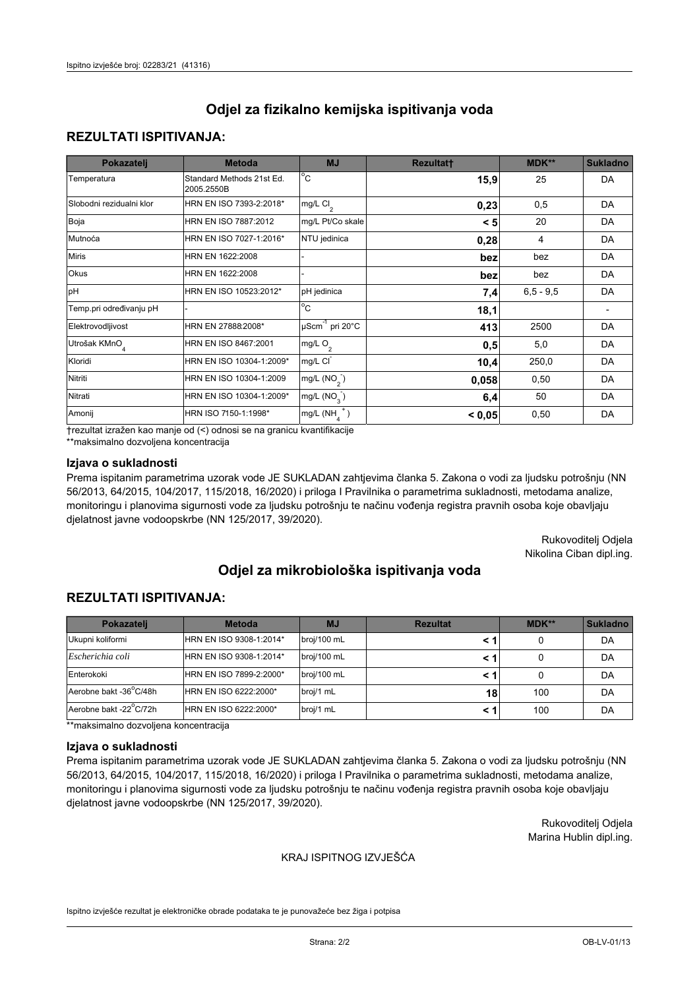### **REZULTATI ISPITIVANJA:**

| Pokazatelj                | <b>Metoda</b>                           | <b>MJ</b>                                | <b>Rezultatt</b> | <b>MDK**</b> | <b>Sukladno</b> |
|---------------------------|-----------------------------------------|------------------------------------------|------------------|--------------|-----------------|
| Temperatura               | Standard Methods 21st Ed.<br>2005.2550B | $\overline{C}$                           | 15,9             | 25           | DA              |
| Slobodni rezidualni klor  | HRN EN ISO 7393-2:2018*                 | $\overline{\text{mg/L}}$ Cl <sub>2</sub> | 0,23             | 0,5          | DA              |
| Boja                      | HRN EN ISO 7887:2012                    | mg/L Pt/Co skale                         | < 5              | 20           | DA              |
| Mutnoća                   | HRN EN ISO 7027-1:2016*                 | NTU jedinica                             | 0,28             | 4            | DA              |
| <b>Miris</b>              | HRN EN 1622:2008                        |                                          | bez              | bez          | DA              |
| Okus                      | HRN EN 1622:2008                        |                                          | bez              | bez          | DA              |
| pH                        | HRN EN ISO 10523:2012*                  | pH jedinica                              | 7,4              | $6.5 - 9.5$  | DA              |
| Temp.pri određivanju pH   |                                         | $\overline{c}$                           | 18,1             |              |                 |
| Elektrovodljivost         | HRN EN 27888:2008*                      | $\mu$ Scm <sup>-1</sup> pri 20°C         | 413              | 2500         | DA              |
| Utrošak KMnO <sub>4</sub> | HRN EN ISO 8467:2001                    | mg/L $O_2$                               | 0,5              | 5,0          | DA              |
| Kloridi                   | HRN EN ISO 10304-1:2009*                | mg/L CI                                  | 10,4             | 250,0        | DA              |
| Nitriti                   | HRN EN ISO 10304-1:2009                 | mg/L $(NO2)$                             | 0,058            | 0,50         | DA              |
| Nitrati                   | HRN EN ISO 10304-1:2009*                | mg/L $(NO3)$                             | 6,4              | 50           | DA              |
| Amonij                    | HRN ISO 7150-1:1998*                    | mg/L $(NH_{\lambda}^{\dagger})$          | < 0,05           | 0,50         | DA              |

trezultat izražen kao manje od (<) odnosi se na granicu kvantifikacije

\*\*maksimalno dozvoljena koncentracija

#### Izjava o sukladnosti

Prema ispitanim parametrima uzorak vode JE SUKLADAN zahtjevima članka 5. Zakona o vodi za ljudsku potrošnju (NN 56/2013, 64/2015, 104/2017, 115/2018, 16/2020) i priloga I Pravilnika o parametrima sukladnosti, metodama analize, monitoringu i planovima sigurnosti vode za ljudsku potrošnju te načinu vođenja registra pravnih osoba koje obavljaju djelatnost javne vodoopskrbe (NN 125/2017, 39/2020).

> Rukovoditelj Odjela Nikolina Ciban dipl.ing.

# Odjel za mikrobiološka ispitivanja voda

### **REZULTATI ISPITIVANJA:**

| Pokazateli             | <b>Metoda</b>           | <b>MJ</b>   | <b>Rezultat</b> | MDK** | <b>Sukladno</b> |
|------------------------|-------------------------|-------------|-----------------|-------|-----------------|
| Ukupni koliformi       | HRN EN ISO 9308-1:2014* | broj/100 mL |                 |       | DA              |
| Escherichia coli       | HRN EN ISO 9308-1:2014* | broj/100 mL |                 |       | DA              |
| Enterokoki             | HRN EN ISO 7899-2:2000* | broj/100 mL |                 |       | DA              |
| Aerobne bakt -36°C/48h | HRN EN ISO 6222:2000*   | broj/1 mL   | 18              | 100   | DA              |
| Aerobne bakt -22°C/72h | HRN EN ISO 6222:2000*   | broj/1 mL   |                 | 100   | DA              |

\*\*maksimalno dozvoljena koncentracija

#### Izjava o sukladnosti

Prema ispitanim parametrima uzorak vode JE SUKLADAN zahtjevima članka 5. Zakona o vodi za ljudsku potrošnju (NN 56/2013, 64/2015, 104/2017, 115/2018, 16/2020) i priloga I Pravilnika o parametrima sukladnosti, metodama analize, monitoringu i planovima sigurnosti vode za ljudsku potrošnju te načinu vođenja registra pravnih osoba koje obavljaju djelatnost javne vodoopskrbe (NN 125/2017, 39/2020).

> Rukovoditelj Odjela Marina Hublin dipl.ing.

#### KRAJ ISPITNOG IZVJEŠĆA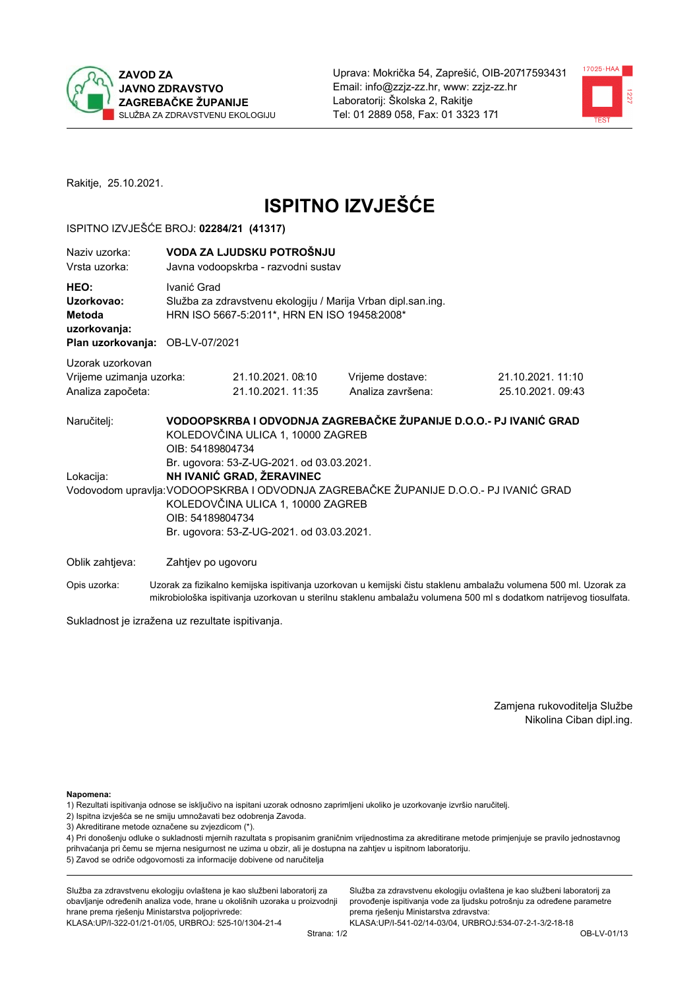



Rakitje, 25.10.2021.

# **ISPITNO IZVJEŠĆE**

#### ISPITNO IZVJEŠĆE BROJ: 02284/21 (41317)

| Naziv uzorka:<br>Vrsta uzorka:                                                  |                                                                                                                                                                                                                                                                       | VODA ZA LJUDSKU POTROŠNJU<br>Javna vodoopskrba - razvodni sustav                                             |                                                                   |                                      |  |
|---------------------------------------------------------------------------------|-----------------------------------------------------------------------------------------------------------------------------------------------------------------------------------------------------------------------------------------------------------------------|--------------------------------------------------------------------------------------------------------------|-------------------------------------------------------------------|--------------------------------------|--|
| HEO:<br>Uzorkovao:<br>Metoda<br>uzorkovanja:<br>Plan uzorkovanja: OB-LV-07/2021 | Ivanić Grad                                                                                                                                                                                                                                                           | Služba za zdravstvenu ekologiju / Marija Vrban dipl.san.ing.<br>HRN ISO 5667-5:2011*, HRN EN ISO 19458:2008* |                                                                   |                                      |  |
| Uzorak uzorkovan                                                                |                                                                                                                                                                                                                                                                       |                                                                                                              |                                                                   |                                      |  |
| Vrijeme uzimanja uzorka:<br>Analiza započeta:                                   |                                                                                                                                                                                                                                                                       | 21.10.2021.08:10<br>21.10.2021. 11:35                                                                        | Vrijeme dostave:<br>Analiza završena:                             | 21.10.2021.11:10<br>25.10.2021.09:43 |  |
| Naručitelj:                                                                     | OIB: 54189804734                                                                                                                                                                                                                                                      | KOLEDOVČINA ULICA 1, 10000 ZAGREB                                                                            | VODOOPSKRBA I ODVODNJA ZAGREBAČKE ŽUPANIJE D.O.O.- PJ IVANIĆ GRAD |                                      |  |
| Lokacija:                                                                       | Br. ugovora: 53-Z-UG-2021. od 03.03.2021.<br>NH IVANIĆ GRAD, ŽERAVINEC<br>Vodovodom upravlja: VODOOPSKRBA I ODVODNJA ZAGREBAČKE ŽUPANIJE D.O.O.- PJ IVANIĆ GRAD<br>KOLEDOVČINA ULICA 1, 10000 ZAGREB<br>OIB: 54189804734<br>Br. ugovora: 53-Z-UG-2021. od 03.03.2021. |                                                                                                              |                                                                   |                                      |  |
|                                                                                 |                                                                                                                                                                                                                                                                       |                                                                                                              |                                                                   |                                      |  |

Opis uzorka: Uzorak za fizikalno kemijska ispitivanja uzorkovan u kemijski čistu staklenu ambalažu volumena 500 ml. Uzorak za mikrobiološka ispitivanja uzorkovan u sterilnu staklenu ambalažu volumena 500 ml s dodatkom natrijevog tiosulfata.

Sukladnost je izražena uz rezultate ispitivanja.

Zamjena rukovoditelja Službe Nikolina Ciban dipl.ing.

Napomena:

1) Rezultati ispitivanja odnose se isključivo na ispitani uzorak odnosno zaprimljeni ukoliko je uzorkovanje izvršio naručitelj.

- 2) Ispitna izvješća se ne smiju umnožavati bez odobrenja Zavoda.
- 3) Akreditirane metode označene su zvjezdicom (\*).

4) Pri donošenju odluke o sukladnosti mjernih razultata s propisanim graničnim vrijednostima za akreditirane metode primjenjuje se pravilo jednostavnog prihvaćanja pri čemu se mjerna nesigurnost ne uzima u obzir, ali je dostupna na zahtjev u ispitnom laboratoriju. 5) Zavod se odriče odgovornosti za informacije dobivene od naručitelja

Služba za zdravstvenu ekologiju ovlaštena je kao službeni laboratorij za obavljanje određenih analiza vode, hrane u okolišnih uzoraka u proizvodnji hrane prema rješenju Ministarstva poljoprivrede: KLASA: UP/I-322-01/21-01/05, URBROJ: 525-10/1304-21-4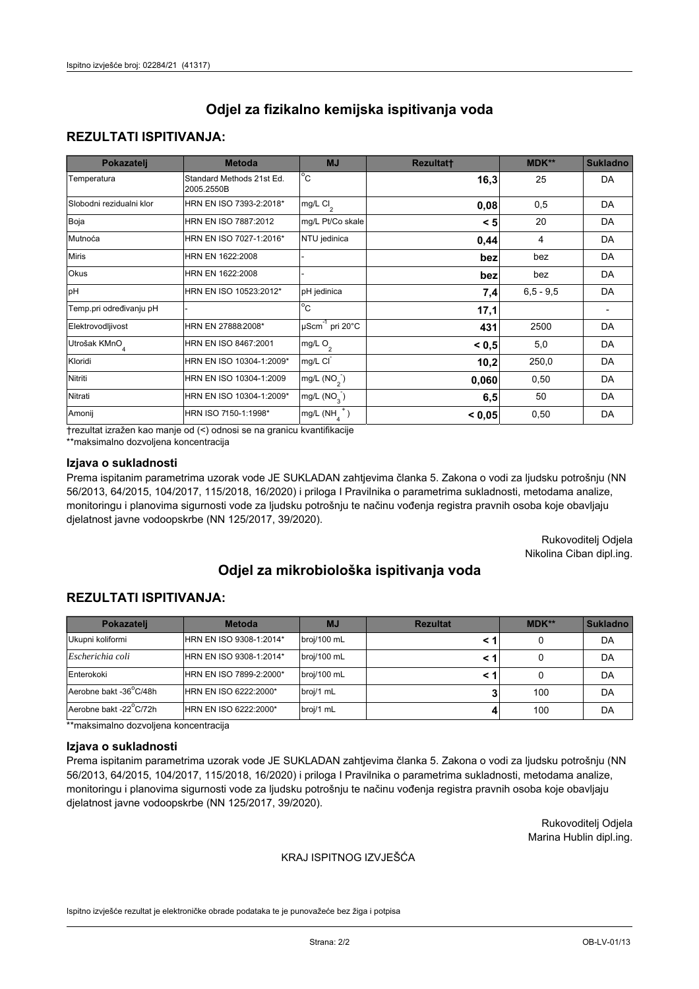### **REZULTATI ISPITIVANJA:**

| Pokazatelj                | <b>Metoda</b>                           | <b>MJ</b>                                   | <b>Rezultatt</b> | <b>MDK**</b> | <b>Sukladno</b> |
|---------------------------|-----------------------------------------|---------------------------------------------|------------------|--------------|-----------------|
| Temperatura               | Standard Methods 21st Ed.<br>2005.2550B | $^{\circ}$ C                                | 16,3             | 25           | DA              |
| Slobodni rezidualni klor  | HRN EN ISO 7393-2:2018*                 | mg/L $Cl_2$                                 | 0,08             | 0,5          | DA              |
| Boja                      | HRN EN ISO 7887:2012                    | mg/L Pt/Co skale                            | < 5              | 20           | DA              |
| Mutnoća                   | HRN EN ISO 7027-1:2016*                 | NTU jedinica                                | 0,44             | 4            | DA              |
| <b>Miris</b>              | HRN EN 1622:2008                        |                                             | bez              | bez          | DA              |
| Okus                      | HRN EN 1622:2008                        |                                             | bez              | bez          | DA              |
| pH                        | HRN EN ISO 10523:2012*                  | pH jedinica                                 | 7,4              | $6.5 - 9.5$  | DA              |
| Temp.pri određivanju pH   |                                         | $\rm ^{\circ}c$                             | 17,1             |              |                 |
| Elektrovodljivost         | HRN EN 27888:2008*                      | $\overline{\mu}$ Scm <sup>-1</sup> pri 20°C | 431              | 2500         | DA              |
| Utrošak KMnO <sub>4</sub> | HRN EN ISO 8467:2001                    | mg/L O <sub>2</sub>                         | < 0.5            | 5,0          | DA              |
| Kloridi                   | HRN EN ISO 10304-1:2009*                | mg/L CI                                     | 10,2             | 250,0        | DA              |
| Nitriti                   | HRN EN ISO 10304-1:2009                 | mg/L (NO <sub>2</sub> )                     | 0,060            | 0,50         | DA              |
| Nitrati                   | HRN EN ISO 10304-1:2009*                | mg/L $(NO_{3})$                             | 6,5              | 50           | DA              |
| Amonij                    | HRN ISO 7150-1:1998*                    | mg/L $(NH_A^+)$                             | < 0,05           | 0,50         | DA              |

trezultat izražen kao manje od (<) odnosi se na granicu kvantifikacije

\*\*maksimalno dozvoljena koncentracija

#### Izjava o sukladnosti

Prema ispitanim parametrima uzorak vode JE SUKLADAN zahtjevima članka 5. Zakona o vodi za ljudsku potrošnju (NN 56/2013, 64/2015, 104/2017, 115/2018, 16/2020) i priloga I Pravilnika o parametrima sukladnosti, metodama analize, monitoringu i planovima sigurnosti vode za ljudsku potrošnju te načinu vođenja registra pravnih osoba koje obavljaju djelatnost javne vodoopskrbe (NN 125/2017, 39/2020).

> Rukovoditelj Odjela Nikolina Ciban dipl.ing.

# Odjel za mikrobiološka ispitivanja voda

## **REZULTATI ISPITIVANJA:**

| Pokazateli             | <b>Metoda</b>           | <b>MJ</b>   | <b>Rezultat</b> | $MDK**$ | <b>Sukladno</b> |
|------------------------|-------------------------|-------------|-----------------|---------|-----------------|
| Ukupni koliformi       | HRN EN ISO 9308-1:2014* | broj/100 mL |                 |         | DA              |
| Escherichia coli       | HRN EN ISO 9308-1:2014* | broj/100 mL |                 |         | DA              |
| Enterokoki             | HRN EN ISO 7899-2:2000* | broj/100 mL |                 |         | DA              |
| Aerobne bakt -36 C/48h | HRN EN ISO 6222:2000*   | broj/1 mL   |                 | 100     | DA              |
| Aerobne bakt -22 C/72h | HRN EN ISO 6222:2000*   | broj/1 mL   |                 | 100     | DA              |

\*\*maksimalno dozvoljena koncentracija

#### Izjava o sukladnosti

Prema ispitanim parametrima uzorak vode JE SUKLADAN zahtjevima članka 5. Zakona o vodi za ljudsku potrošnju (NN 56/2013, 64/2015, 104/2017, 115/2018, 16/2020) i priloga I Pravilnika o parametrima sukladnosti, metodama analize, monitoringu i planovima sigurnosti vode za ljudsku potrošnju te načinu vođenja registra pravnih osoba koje obavljaju djelatnost javne vodoopskrbe (NN 125/2017, 39/2020).

> Rukovoditelj Odjela Marina Hublin dipl.ing.

#### KRAJ ISPITNOG IZVJEŠĆA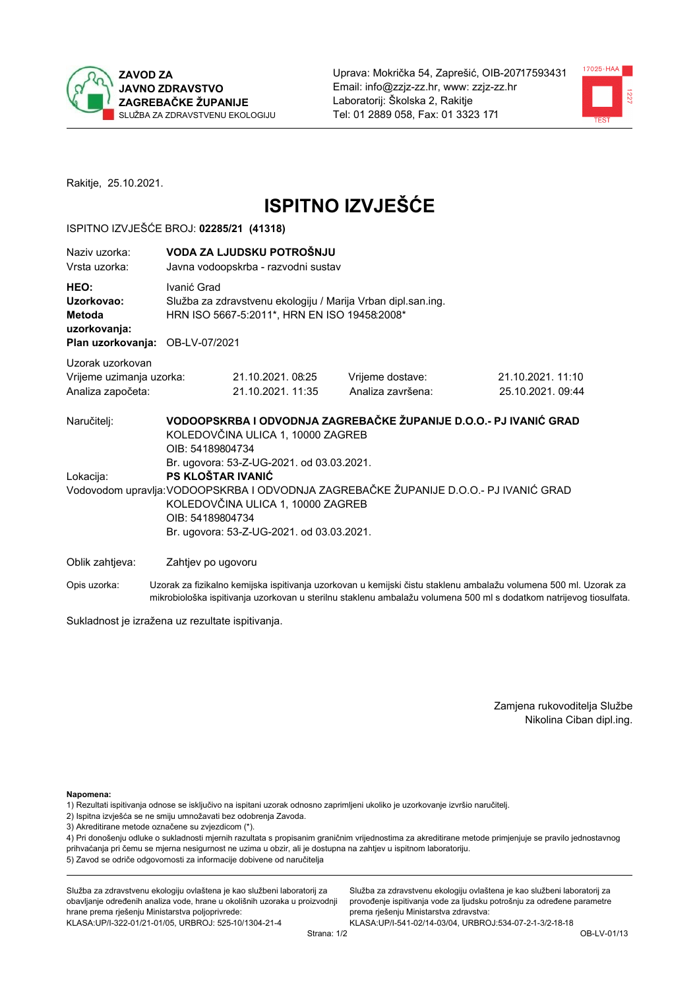



Rakitje, 25.10.2021.

# **ISPITNO IZVJEŠĆE**

#### ISPITNO IZVJEŠĆE BROJ: 02285/21 (41318)

| Naziv uzorka:<br>Vrsta uzorka:                                    |                                                                                                                             | VODA ZA LJUDSKU POTROŠNJU<br>Javna vodoopskrba - razvodni sustav                                                                                                                      |                                                                                                                                                            |                                                                                                                  |  |  |
|-------------------------------------------------------------------|-----------------------------------------------------------------------------------------------------------------------------|---------------------------------------------------------------------------------------------------------------------------------------------------------------------------------------|------------------------------------------------------------------------------------------------------------------------------------------------------------|------------------------------------------------------------------------------------------------------------------|--|--|
| HEO:<br>Uzorkovao:<br>Metoda<br>uzorkovanja:                      | Ivanić Grad<br>Služba za zdravstvenu ekologiju / Marija Vrban dipl.san.ing.<br>HRN ISO 5667-5:2011*, HRN EN ISO 19458:2008* |                                                                                                                                                                                       |                                                                                                                                                            |                                                                                                                  |  |  |
| Plan uzorkovanja: OB-LV-07/2021                                   |                                                                                                                             |                                                                                                                                                                                       |                                                                                                                                                            |                                                                                                                  |  |  |
| Uzorak uzorkovan<br>Vrijeme uzimanja uzorka:<br>Analiza započeta: |                                                                                                                             | 21.10.2021.08:25<br>21.10.2021. 11:35                                                                                                                                                 | Vrijeme dostave:<br>Analiza završena:                                                                                                                      | 21.10.2021. 11:10<br>25.10.2021.09:44                                                                            |  |  |
| Naručitelj:<br>Lokacija:                                          | OIB: 54189804734<br>OIB: 54189804734                                                                                        | KOLEDOVČINA ULICA 1, 10000 ZAGREB<br>Br. ugovora: 53-Z-UG-2021. od 03.03.2021.<br>PS KLOŠTAR IVANIĆ<br>KOLEDOVČINA ULICA 1, 10000 ZAGREB<br>Br. ugovora: 53-Z-UG-2021. od 03.03.2021. | VODOOPSKRBA I ODVODNJA ZAGREBAČKE ŽUPANIJE D.O.O.- PJ IVANIĆ GRAD<br>Vodovodom upravlja: VODOOPSKRBA I ODVODNJA ZAGREBAČKE ŽUPANIJE D.O.O.- PJ IVANIĆ GRAD |                                                                                                                  |  |  |
| Oblik zahtjeva:                                                   | Zahtjev po ugovoru                                                                                                          |                                                                                                                                                                                       |                                                                                                                                                            |                                                                                                                  |  |  |
| Opis uzorka:                                                      |                                                                                                                             |                                                                                                                                                                                       |                                                                                                                                                            | Uzorak za fizikalno kemijska ispitivanja uzorkovan u kemijski čistu staklenu ambalažu volumena 500 ml. Uzorak za |  |  |

mikrobiološka ispitivanja uzorkovan u sterilnu staklenu ambalažu volumena 500 ml s dodatkom natrijevog tiosulfata.

Sukladnost je izražena uz rezultate ispitivanja.

Zamjena rukovoditelja Službe Nikolina Ciban dipl.ing.

Napomena:

1) Rezultati ispitivanja odnose se isključivo na ispitani uzorak odnosno zaprimljeni ukoliko je uzorkovanje izvršio naručitelj.

- 2) Ispitna izvješća se ne smiju umnožavati bez odobrenja Zavoda.
- 3) Akreditirane metode označene su zvjezdicom (\*).

4) Pri donošenju odluke o sukladnosti mjernih razultata s propisanim graničnim vrijednostima za akreditirane metode primjenjuje se pravilo jednostavnog prihvaćanja pri čemu se mjerna nesigurnost ne uzima u obzir, ali je dostupna na zahtjev u ispitnom laboratoriju. 5) Zavod se odriče odgovornosti za informacije dobivene od naručitelja

Služba za zdravstvenu ekologiju ovlaštena je kao službeni laboratorij za obavljanje određenih analiza vode, hrane u okolišnih uzoraka u proizvodnji hrane prema rješenju Ministarstva poljoprivrede: KLASA: UP/I-322-01/21-01/05, URBROJ: 525-10/1304-21-4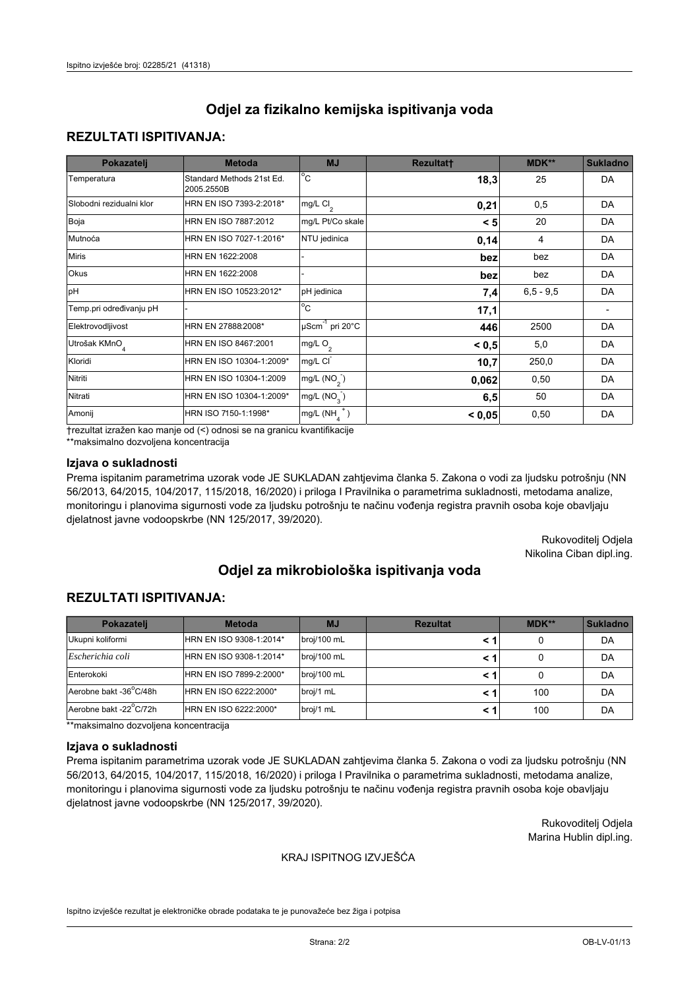### **REZULTATI ISPITIVANJA:**

| Pokazatelj                | <b>Metoda</b>                           | <b>MJ</b>                                   | <b>Rezultatt</b> | <b>MDK**</b> | <b>Sukladno</b> |
|---------------------------|-----------------------------------------|---------------------------------------------|------------------|--------------|-----------------|
| Temperatura               | Standard Methods 21st Ed.<br>2005.2550B | $^{\circ}$ C                                | 18,3             | 25           | DA              |
| Slobodni rezidualni klor  | HRN EN ISO 7393-2:2018*                 | $mg/L$ Cl <sub>2</sub>                      | 0,21             | 0,5          | DA              |
| Boja                      | HRN EN ISO 7887:2012                    | mg/L Pt/Co skale                            | < 5              | 20           | DA              |
| Mutnoća                   | HRN EN ISO 7027-1:2016*                 | NTU jedinica                                | 0,14             | 4            | DA              |
| <b>Miris</b>              | HRN EN 1622:2008                        |                                             | bez              | bez          | DA              |
| Okus                      | HRN EN 1622:2008                        |                                             | bez              | bez          | DA              |
| pH                        | HRN EN ISO 10523:2012*                  | pH jedinica                                 | 7,4              | $6.5 - 9.5$  | DA              |
| Temp.pri određivanju pH   |                                         | $\rm ^{\circ}c$                             | 17,1             |              |                 |
| Elektrovodljivost         | HRN EN 27888:2008*                      | $\overline{\mu}$ Scm <sup>-1</sup> pri 20°C | 446              | 2500         | DA              |
| Utrošak KMnO <sub>4</sub> | HRN EN ISO 8467:2001                    | mg/L O <sub>2</sub>                         | < 0.5            | 5,0          | DA              |
| Kloridi                   | HRN EN ISO 10304-1:2009*                | mg/L CI                                     | 10,7             | 250,0        | DA              |
| Nitriti                   | HRN EN ISO 10304-1:2009                 | mg/L (NO <sub>2</sub> )                     | 0,062            | 0,50         | DA              |
| Nitrati                   | HRN EN ISO 10304-1:2009*                | mg/L $(NO_{3})$                             | 6,5              | 50           | DA              |
| Amonij                    | HRN ISO 7150-1:1998*                    | mg/L $(NH_A^+)$                             | < 0,05           | 0,50         | DA              |

trezultat izražen kao manje od (<) odnosi se na granicu kvantifikacije

\*\*maksimalno dozvoljena koncentracija

#### Izjava o sukladnosti

Prema ispitanim parametrima uzorak vode JE SUKLADAN zahtjevima članka 5. Zakona o vodi za ljudsku potrošnju (NN 56/2013, 64/2015, 104/2017, 115/2018, 16/2020) i priloga I Pravilnika o parametrima sukladnosti, metodama analize, monitoringu i planovima sigurnosti vode za ljudsku potrošnju te načinu vođenja registra pravnih osoba koje obavljaju djelatnost javne vodoopskrbe (NN 125/2017, 39/2020).

> Rukovoditelj Odjela Nikolina Ciban dipl.ing.

# Odjel za mikrobiološka ispitivanja voda

## **REZULTATI ISPITIVANJA:**

| Pokazateli             | <b>Metoda</b>           | <b>MJ</b>   | <b>Rezultat</b> | MDK** | <b>Sukladno</b> |
|------------------------|-------------------------|-------------|-----------------|-------|-----------------|
| Ukupni koliformi       | HRN EN ISO 9308-1:2014* | broj/100 mL |                 |       | DA              |
| Escherichia coli       | HRN EN ISO 9308-1:2014* | broj/100 mL |                 |       | DA              |
| Enterokoki             | HRN EN ISO 7899-2:2000* | broj/100 mL |                 |       | DA              |
| Aerobne bakt -36°C/48h | HRN EN ISO 6222:2000*   | broj/1 mL   |                 | 100   | DA              |
| Aerobne bakt -22°C/72h | HRN EN ISO 6222:2000*   | broj/1 mL   |                 | 100   | DA              |

\*\*maksimalno dozvoljena koncentracija

#### Izjava o sukladnosti

Prema ispitanim parametrima uzorak vode JE SUKLADAN zahtjevima članka 5. Zakona o vodi za ljudsku potrošnju (NN 56/2013, 64/2015, 104/2017, 115/2018, 16/2020) i priloga I Pravilnika o parametrima sukladnosti, metodama analize, monitoringu i planovima sigurnosti vode za ljudsku potrošnju te načinu vođenja registra pravnih osoba koje obavljaju djelatnost javne vodoopskrbe (NN 125/2017, 39/2020).

> Rukovoditelj Odjela Marina Hublin dipl.ing.

#### KRAJ ISPITNOG IZVJEŠĆA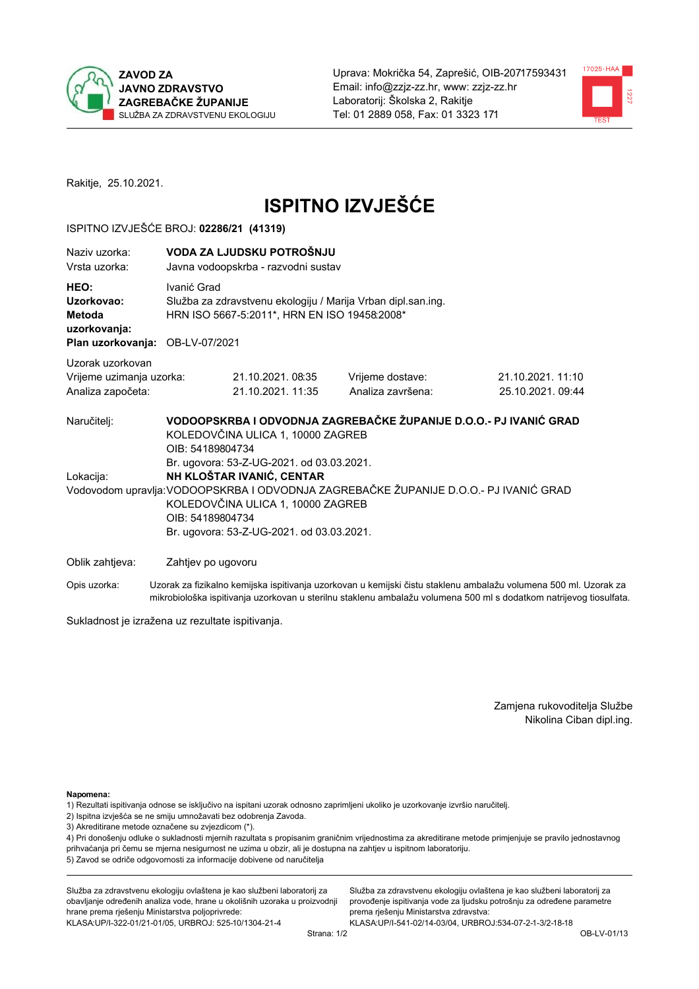



Rakitje, 25.10.2021.

# **ISPITNO IZVJEŠĆE**

#### ISPITNO IZVJEŠĆE BROJ: 02286/21 (41319)

| Naziy uzorka:<br>Vrsta uzorka:                                                  | VODA ZA LJUDSKU POTROŠNJU<br>Javna vodoopskrba - razvodni sustav                                                                                                                                                                                                      |                                                                                                              |                                                                   |                                      |  |  |
|---------------------------------------------------------------------------------|-----------------------------------------------------------------------------------------------------------------------------------------------------------------------------------------------------------------------------------------------------------------------|--------------------------------------------------------------------------------------------------------------|-------------------------------------------------------------------|--------------------------------------|--|--|
| HEO:<br>Uzorkovao:<br>Metoda<br>uzorkovanja:<br>Plan uzorkovanja: OB-LV-07/2021 | Ivanić Grad                                                                                                                                                                                                                                                           | Služba za zdravstvenu ekologiju / Marija Vrban dipl.san.ing.<br>HRN ISO 5667-5:2011*, HRN EN ISO 19458:2008* |                                                                   |                                      |  |  |
| Uzorak uzorkovan                                                                |                                                                                                                                                                                                                                                                       |                                                                                                              |                                                                   |                                      |  |  |
| Vrijeme uzimanja uzorka:<br>Analiza započeta:                                   |                                                                                                                                                                                                                                                                       | 21.10.2021.08:35<br>21.10.2021. 11:35                                                                        | Vrijeme dostave:<br>Analiza završena:                             | 21.10.2021.11:10<br>25.10.2021.09:44 |  |  |
| Naručitelj:                                                                     | OIB: 54189804734                                                                                                                                                                                                                                                      | KOLEDOVČINA ULICA 1, 10000 ZAGREB                                                                            | VODOOPSKRBA I ODVODNJA ZAGREBAČKE ŽUPANIJE D.O.O.- PJ IVANIĆ GRAD |                                      |  |  |
| Lokacija:                                                                       | Br. ugovora: 53-Z-UG-2021. od 03.03.2021.<br>NH KLOŠTAR IVANIĆ, CENTAR<br>Vodovodom upravlja: VODOOPSKRBA I ODVODNJA ZAGREBAČKE ŽUPANIJE D.O.O.- PJ IVANIĆ GRAD<br>KOLEDOVČINA ULICA 1, 10000 ZAGREB<br>OIB: 54189804734<br>Br. ugovora: 53-Z-UG-2021. od 03.03.2021. |                                                                                                              |                                                                   |                                      |  |  |
| Oblik zahtjeva:                                                                 | Zahtjev po ugovoru                                                                                                                                                                                                                                                    |                                                                                                              |                                                                   |                                      |  |  |

Opis uzorka: Uzorak za fizikalno kemijska ispitivanja uzorkovan u kemijski čistu staklenu ambalažu volumena 500 ml. Uzorak za mikrobiološka ispitivanja uzorkovan u sterilnu staklenu ambalažu volumena 500 ml s dodatkom natrijevog tiosulfata.

Sukladnost je izražena uz rezultate ispitivanja.

Zamjena rukovoditelja Službe Nikolina Ciban dipl.ing.

Napomena:

- 1) Rezultati ispitivanja odnose se isključivo na ispitani uzorak odnosno zaprimljeni ukoliko je uzorkovanje izvršio naručitelj.
- 2) Ispitna izvješća se ne smiju umnožavati bez odobrenja Zavoda.
- 3) Akreditirane metode označene su zvjezdicom (\*).

4) Pri donošenju odluke o sukladnosti mjernih razultata s propisanim graničnim vrijednostima za akreditirane metode primjenjuje se pravilo jednostavnog prihvaćanja pri čemu se mjerna nesigurnost ne uzima u obzir, ali je dostupna na zahtjev u ispitnom laboratoriju. 5) Zavod se odriče odgovornosti za informacije dobivene od naručitelja

Služba za zdravstvenu ekologiju ovlaštena je kao službeni laboratorij za obavljanje određenih analiza vode, hrane u okolišnih uzoraka u proizvodnji hrane prema rješenju Ministarstva poljoprivrede: KLASA.UP/I-322-01/21-01/05, URBROJ: 525-10/1304-21-4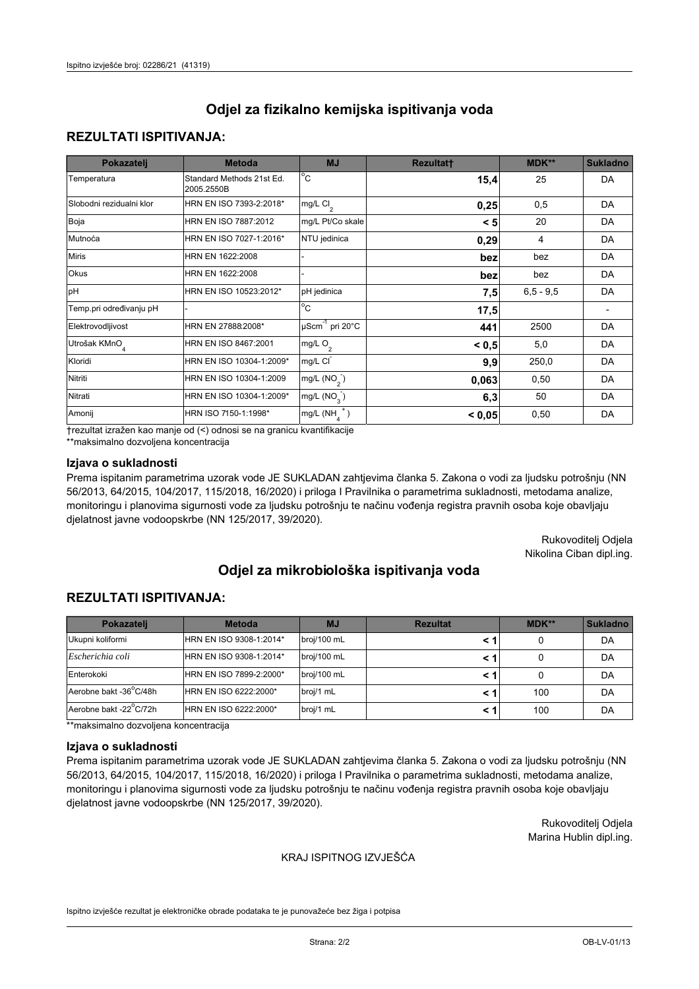### **REZULTATI ISPITIVANJA:**

| Pokazatelj                | <b>Metoda</b>                           | <b>MJ</b>                                | <b>Rezultatt</b> | <b>MDK**</b> | <b>Sukladno</b> |
|---------------------------|-----------------------------------------|------------------------------------------|------------------|--------------|-----------------|
| Temperatura               | Standard Methods 21st Ed.<br>2005.2550B | $\overline{C}$                           | 15,4             | 25           | DA              |
| Slobodni rezidualni klor  | HRN EN ISO 7393-2:2018*                 | $\overline{\text{mg/L}}$ Cl <sub>2</sub> | 0,25             | 0,5          | DA              |
| Boja                      | HRN EN ISO 7887:2012                    | mg/L Pt/Co skale                         | < 5              | 20           | DA              |
| Mutnoća                   | HRN EN ISO 7027-1:2016*                 | NTU jedinica                             | 0,29             | 4            | DA              |
| <b>Miris</b>              | HRN EN 1622:2008                        |                                          | bez              | bez          | DA              |
| Okus                      | HRN EN 1622:2008                        |                                          | bez              | bez          | DA              |
| pH                        | HRN EN ISO 10523:2012*                  | pH jedinica                              | 7,5              | $6.5 - 9.5$  | DA              |
| Temp.pri određivanju pH   |                                         | $\overline{c}$                           | 17,5             |              |                 |
| Elektrovodljivost         | HRN EN 27888:2008*                      | $\mu$ Scm <sup>-1</sup> pri 20°C         | 441              | 2500         | DA              |
| Utrošak KMnO <sub>4</sub> | HRN EN ISO 8467:2001                    | mg/L $O_2$                               | < 0, 5           | 5,0          | DA              |
| Kloridi                   | HRN EN ISO 10304-1:2009*                | mg/L CI                                  | 9,9              | 250,0        | DA              |
| Nitriti                   | HRN EN ISO 10304-1:2009                 | mg/L $(NO2)$                             | 0,063            | 0,50         | DA              |
| Nitrati                   | HRN EN ISO 10304-1:2009*                | mg/L $(NO3)$                             | 6,3              | 50           | DA              |
| Amonij                    | HRN ISO 7150-1:1998*                    | mg/L $(NH_{\lambda}^{\dagger})$          | < 0,05           | 0,50         | DA              |

trezultat izražen kao manje od (<) odnosi se na granicu kvantifikacije

\*\*maksimalno dozvoljena koncentracija

#### Izjava o sukladnosti

Prema ispitanim parametrima uzorak vode JE SUKLADAN zahtjevima članka 5. Zakona o vodi za ljudsku potrošnju (NN 56/2013, 64/2015, 104/2017, 115/2018, 16/2020) i priloga I Pravilnika o parametrima sukladnosti, metodama analize, monitoringu i planovima sigurnosti vode za ljudsku potrošnju te načinu vođenja registra pravnih osoba koje obavljaju djelatnost javne vodoopskrbe (NN 125/2017, 39/2020).

> Rukovoditelj Odjela Nikolina Ciban dipl.ing.

# Odjel za mikrobiološka ispitivanja voda

## **REZULTATI ISPITIVANJA:**

| Pokazatelj             | <b>Metoda</b>           | <b>MJ</b>   | <b>Rezultat</b> | MDK** | <b>Sukladno</b> |
|------------------------|-------------------------|-------------|-----------------|-------|-----------------|
| Ukupni koliformi       | HRN EN ISO 9308-1:2014* | broj/100 mL |                 |       | DA              |
| Escherichia coli       | HRN EN ISO 9308-1:2014* | broj/100 mL |                 |       | DA              |
| Enterokoki             | HRN EN ISO 7899-2:2000* | broj/100 mL |                 |       | DA              |
| Aerobne bakt -36°C/48h | HRN EN ISO 6222:2000*   | broj/1 mL   |                 | 100   | DA              |
| Aerobne bakt -22°C/72h | HRN EN ISO 6222:2000*   | broj/1 mL   |                 | 100   | DA              |

\*\*maksimalno dozvoljena koncentracija

#### Izjava o sukladnosti

Prema ispitanim parametrima uzorak vode JE SUKLADAN zahtjevima članka 5. Zakona o vodi za ljudsku potrošnju (NN 56/2013, 64/2015, 104/2017, 115/2018, 16/2020) i priloga I Pravilnika o parametrima sukladnosti, metodama analize, monitoringu i planovima sigurnosti vode za ljudsku potrošnju te načinu vođenja registra pravnih osoba koje obavljaju djelatnost javne vodoopskrbe (NN 125/2017, 39/2020).

> Rukovoditelj Odjela Marina Hublin dipl.ing.

#### KRAJ ISPITNOG IZVJEŠĆA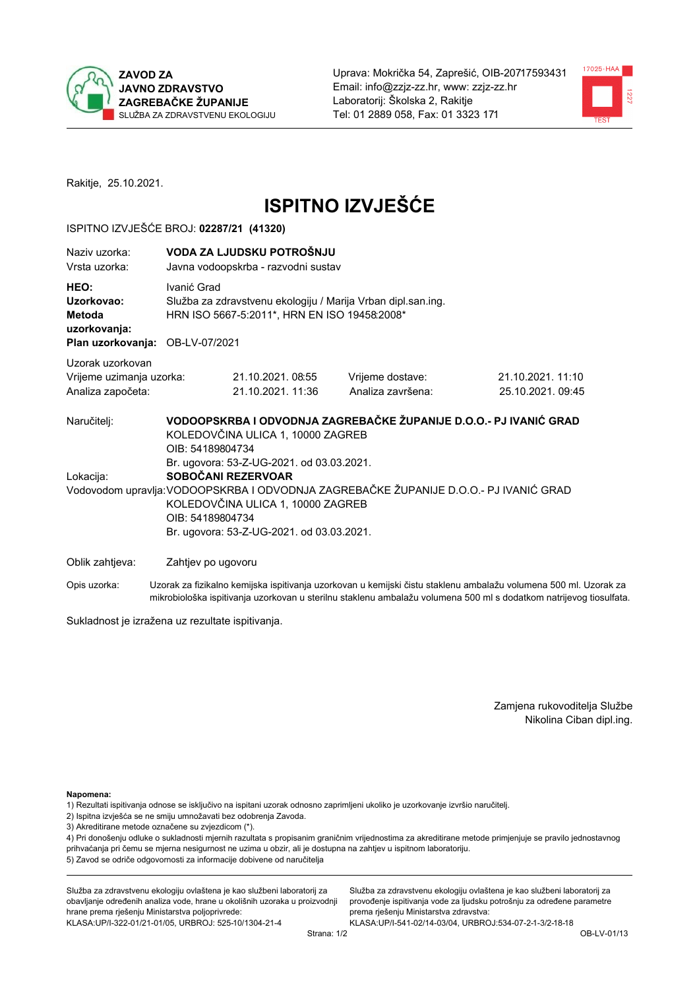



Rakitje, 25.10.2021.

# **ISPITNO IZVJEŠĆE**

#### ISPITNO IZVJEŠĆE BROJ: 02287/21 (41320)

| Naziv uzorka:<br>Vrsta uzorka:                                                  |                                                                                                                                                                                                                                                                                        | VODA ZA LJUDSKU POTROŠNJU<br>Javna vodoopskrba - razvodni sustav                                                            |                   |                                                                                                                  |  |  |  |
|---------------------------------------------------------------------------------|----------------------------------------------------------------------------------------------------------------------------------------------------------------------------------------------------------------------------------------------------------------------------------------|-----------------------------------------------------------------------------------------------------------------------------|-------------------|------------------------------------------------------------------------------------------------------------------|--|--|--|
| HEO:<br>Uzorkovao:<br>Metoda<br>uzorkovanja:<br>Plan uzorkovanja: OB-LV-07/2021 |                                                                                                                                                                                                                                                                                        | Ivanić Grad<br>Služba za zdravstvenu ekologiju / Marija Vrban dipl.san.ing.<br>HRN ISO 5667-5:2011*, HRN EN ISO 19458:2008* |                   |                                                                                                                  |  |  |  |
| Uzorak uzorkovan                                                                |                                                                                                                                                                                                                                                                                        |                                                                                                                             |                   |                                                                                                                  |  |  |  |
| Vrijeme uzimanja uzorka:                                                        |                                                                                                                                                                                                                                                                                        | 21.10.2021.08:55                                                                                                            | Vrijeme dostave:  | 21.10.2021.11:10                                                                                                 |  |  |  |
| Analiza započeta:                                                               |                                                                                                                                                                                                                                                                                        | 21.10.2021. 11:36                                                                                                           | Analiza završena: | 25.10.2021.09:45                                                                                                 |  |  |  |
| Naručitelj:<br>Lokacija:                                                        | VODOOPSKRBA I ODVODNJA ZAGREBAČKE ŽUPANIJE D.O.O.- PJ IVANIĆ GRAD<br>KOLEDOVČINA ULICA 1, 10000 ZAGREB<br>OIB: 54189804734<br>Br. ugovora: 53-Z-UG-2021. od 03.03.2021.<br>SOBOČANI REZERVOAR<br>Vodovodom upravlja: VODOOPSKRBA I ODVODNJA ZAGREBAČKE ŽUPANIJE D.O.O.- PJ IVANIĆ GRAD |                                                                                                                             |                   |                                                                                                                  |  |  |  |
|                                                                                 |                                                                                                                                                                                                                                                                                        | KOLEDOVČINA ULICA 1, 10000 ZAGREB<br>OIB: 54189804734<br>Br. ugovora: 53-Z-UG-2021. od 03.03.2021.                          |                   |                                                                                                                  |  |  |  |
| Oblik zahtjeva:                                                                 |                                                                                                                                                                                                                                                                                        | Zahtjev po ugovoru                                                                                                          |                   |                                                                                                                  |  |  |  |
| Opis uzorka:                                                                    |                                                                                                                                                                                                                                                                                        |                                                                                                                             |                   | Uzorak za fizikalno kemijska ispitivanja uzorkovan u kemijski čistu staklenu ambalažu volumena 500 ml. Uzorak za |  |  |  |

Sukladnost je izražena uz rezultate ispitivanja.

Zamjena rukovoditelja Službe Nikolina Ciban dipl.ing.

Napomena:

1) Rezultati ispitivanja odnose se isključivo na ispitani uzorak odnosno zaprimljeni ukoliko je uzorkovanje izvršio naručitelj.

- 2) Ispitna izvješća se ne smiju umnožavati bez odobrenja Zavoda.
- 3) Akreditirane metode označene su zvjezdicom (\*).

4) Pri donošenju odluke o sukladnosti mjernih razultata s propisanim graničnim vrijednostima za akreditirane metode primjenjuje se pravilo jednostavnog prihvaćanja pri čemu se mjerna nesigurnost ne uzima u obzir, ali je dostupna na zahtjev u ispitnom laboratoriju. 5) Zavod se odriče odgovornosti za informacije dobivene od naručitelja

Služba za zdravstvenu ekologiju ovlaštena je kao službeni laboratorij za obavljanje određenih analiza vode, hrane u okolišnih uzoraka u proizvodnji hrane prema rješenju Ministarstva poljoprivrede: KLASA: UP/I-322-01/21-01/05, URBROJ: 525-10/1304-21-4

Služba za zdravstvenu ekologiju ovlaštena je kao službeni laboratorij za provođenje ispitivanja vode za ljudsku potrošnju za određene parametre prema rješenju Ministarstva zdravstva: KLASA:UP/I-541-02/14-03/04, URBROJ:534-07-2-1-3/2-18-18

mikrobiološka ispitivanja uzorkovan u sterilnu staklenu ambalažu volumena 500 ml s dodatkom natrijevog tiosulfata.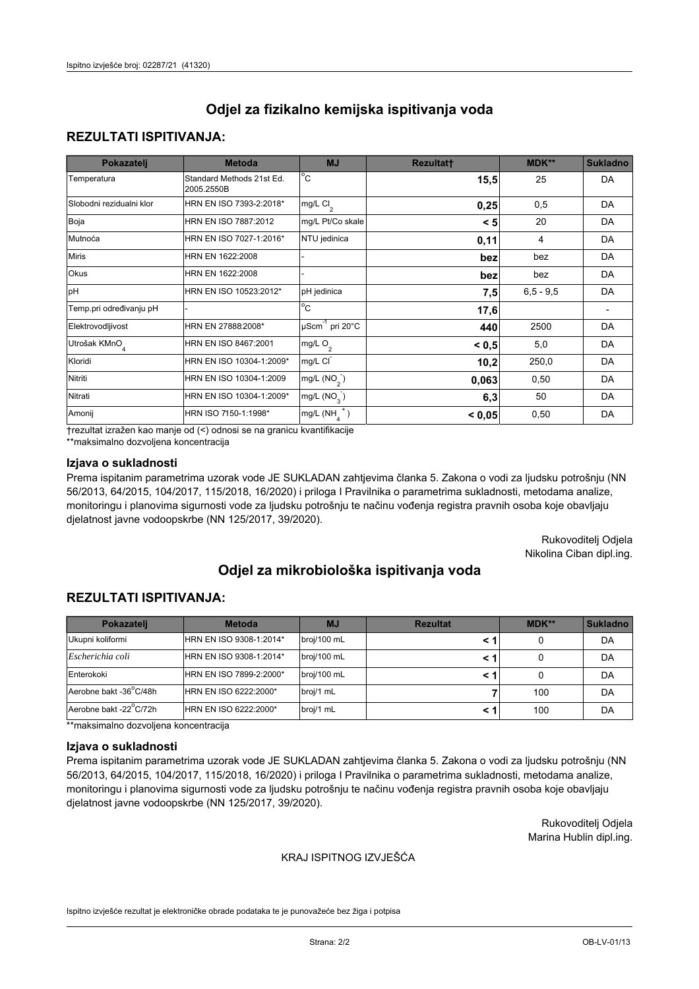## **REZULTATI ISPITIVANJA:**

| Pokazatelj                | <b>Metoda</b>                           | <b>MJ</b>                        | <b>Rezultatt</b> | <b>MDK**</b> | <b>Sukladno</b> |
|---------------------------|-----------------------------------------|----------------------------------|------------------|--------------|-----------------|
| Temperatura               | Standard Methods 21st Ed.<br>2005.2550B | $^{\circ}$ C                     | 15,5             | 25           | DA              |
| Slobodni rezidualni klor  | HRN EN ISO 7393-2:2018*                 | mg/L $Cl2$                       | 0,25             | 0,5          | DA              |
| Boja                      | HRN EN ISO 7887:2012                    | mg/L Pt/Co skale                 | < 5              | 20           | DA              |
| Mutnoća                   | HRN EN ISO 7027-1:2016*                 | NTU jedinica                     | 0,11             | 4            | DA              |
| <b>Miris</b>              | HRN EN 1622:2008                        |                                  | bez              | bez          | DA              |
| Okus                      | HRN EN 1622:2008                        |                                  | bez              | bez          | DA              |
| pH                        | HRN EN ISO 10523:2012*                  | pH jedinica                      | 7,5              | $6.5 - 9.5$  | DA              |
| Temp.pri određivanju pH   |                                         | $\overline{c}$                   | 17,6             |              |                 |
| Elektrovodljivost         | HRN EN 27888:2008*                      | $\mu$ Scm <sup>-1</sup> pri 20°C | 440              | 2500         | DA              |
| Utrošak KMnO <sub>4</sub> | HRN EN ISO 8467:2001                    | mg/L O <sub>2</sub>              | < 0.5            | 5,0          | DA              |
| Kloridi                   | HRN EN ISO 10304-1:2009*                | mg/L CI                          | 10,2             | 250,0        | DA              |
| Nitriti                   | HRN EN ISO 10304-1:2009                 | mg/L (NO <sub>2</sub> )          | 0,063            | 0,50         | DA              |
| Nitrati                   | HRN EN ISO 10304-1:2009*                | mg/L $(NO_{3})$                  | 6,3              | 50           | DA              |
| Amonij                    | HRN ISO 7150-1:1998*                    | mg/L $(NH_A^+)$                  | < 0,05           | 0,50         | DA              |

trezultat izražen kao manje od (<) odnosi se na granicu kvantifikacije

\*\*maksimalno dozvoljena koncentracija

#### Izjava o sukladnosti

Prema ispitanim parametrima uzorak vode JE SUKLADAN zahtjevima članka 5. Zakona o vodi za ljudsku potrošnju (NN 56/2013, 64/2015, 104/2017, 115/2018, 16/2020) i priloga I Pravilnika o parametrima sukladnosti, metodama analize, monitoringu i planovima sigurnosti vode za ljudsku potrošnju te načinu vođenja registra pravnih osoba koje obavljaju djelatnost javne vodoopskrbe (NN 125/2017, 39/2020).

> Rukovoditelj Odjela Nikolina Ciban dipl.ing.

# Odjel za mikrobiološka ispitivanja voda

## **REZULTATI ISPITIVANJA:**

| Pokazatelj             | <b>Metoda</b>           | <b>MJ</b>   | <b>Rezultat</b> | MDK** | <b>Sukladno</b> |
|------------------------|-------------------------|-------------|-----------------|-------|-----------------|
| Ukupni koliformi       | HRN EN ISO 9308-1:2014* | broj/100 mL |                 |       | DA              |
| Escherichia coli       | HRN EN ISO 9308-1:2014* | broj/100 mL |                 |       | DA              |
| Enterokoki             | HRN EN ISO 7899-2:2000* | broj/100 mL |                 |       | DA              |
| Aerobne bakt -36°C/48h | HRN EN ISO 6222:2000*   | broj/1 mL   |                 | 100   | DA              |
| Aerobne bakt -22°C/72h | HRN EN ISO 6222:2000*   | broj/1 mL   |                 | 100   | DA              |

\*\*maksimalno dozvoljena koncentracija

#### Izjava o sukladnosti

Prema ispitanim parametrima uzorak vode JE SUKLADAN zahtjevima članka 5. Zakona o vodi za ljudsku potrošnju (NN 56/2013, 64/2015, 104/2017, 115/2018, 16/2020) i priloga I Pravilnika o parametrima sukladnosti, metodama analize, monitoringu i planovima sigurnosti vode za ljudsku potrošnju te načinu vođenja registra pravnih osoba koje obavljaju djelatnost javne vodoopskrbe (NN 125/2017, 39/2020).

> Rukovoditelj Odjela Marina Hublin dipl.ing.

#### KRAJ ISPITNOG IZVJEŠĆA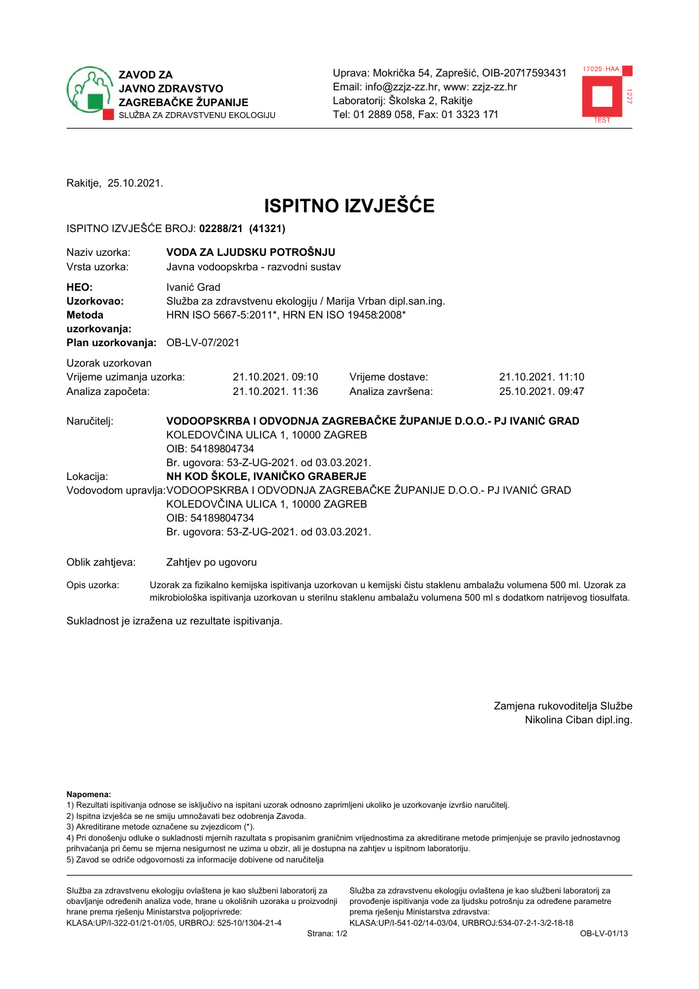



Rakitje, 25.10.2021.

# **ISPITNO IZVJEŠĆE**

#### ISPITNO IZVJEŠĆE BROJ: 02288/21 (41321)

| Naziy uzorka:<br>Vrsta uzorka:                                                  |                                                                                                                                                                                                                                             | VODA ZA LJUDSKU POTROŠNJU<br>Javna vodoopskrba - razvodni sustav                                             |                                                                   |                                      |  |  |
|---------------------------------------------------------------------------------|---------------------------------------------------------------------------------------------------------------------------------------------------------------------------------------------------------------------------------------------|--------------------------------------------------------------------------------------------------------------|-------------------------------------------------------------------|--------------------------------------|--|--|
| HEO:<br>Uzorkovao:<br>Metoda<br>uzorkovanja:<br>Plan uzorkovanja: OB-LV-07/2021 | Ivanić Grad                                                                                                                                                                                                                                 | Služba za zdravstvenu ekologiju / Marija Vrban dipl.san.ing.<br>HRN ISO 5667-5:2011*, HRN EN ISO 19458:2008* |                                                                   |                                      |  |  |
| Uzorak uzorkovan<br>Vrijeme uzimanja uzorka:<br>Analiza započeta:               |                                                                                                                                                                                                                                             | 21.10.2021.09:10<br>21.10.2021.11:36                                                                         | Vrijeme dostave:<br>Analiza završena:                             | 21.10.2021.11:10<br>25.10.2021.09:47 |  |  |
| Naručitelj:                                                                     | OIB: 54189804734                                                                                                                                                                                                                            | KOLEDOVČINA ULICA 1, 10000 ZAGREB<br>Br. ugovora: 53-Z-UG-2021. od 03.03.2021.                               | VODOOPSKRBA I ODVODNJA ZAGREBAČKE ŽUPANIJE D.O.O.- PJ IVANIĆ GRAD |                                      |  |  |
|                                                                                 | NH KOD ŠKOLE, IVANIČKO GRABERJE<br>Lokacija:<br>Vodovodom upravlja: VODOOPSKRBA I ODVODNJA ZAGREBAČKE ŽUPANIJE D.O.O.- PJ IVANIĆ GRAD<br>KOLEDOVČINA ULICA 1, 10000 ZAGREB<br>OIB: 54189804734<br>Br. ugovora: 53-Z-UG-2021. od 03.03.2021. |                                                                                                              |                                                                   |                                      |  |  |
| Oblik zahtjeva:                                                                 | Zahtjev po ugovoru                                                                                                                                                                                                                          |                                                                                                              |                                                                   |                                      |  |  |

Opis uzorka: Uzorak za fizikalno kemijska ispitivanja uzorkovan u kemijski čistu staklenu ambalažu volumena 500 ml. Uzorak za mikrobiološka ispitivanja uzorkovan u sterilnu staklenu ambalažu volumena 500 ml s dodatkom natrijevog tiosulfata.

Sukladnost je izražena uz rezultate ispitivanja.

Zamjena rukovoditelja Službe Nikolina Ciban dipl.ing.

Napomena:

1) Rezultati ispitivanja odnose se isključivo na ispitani uzorak odnosno zaprimljeni ukoliko je uzorkovanje izvršio naručitelj.

- 2) Ispitna izvješća se ne smiju umnožavati bez odobrenja Zavoda.
- 3) Akreditirane metode označene su zvjezdicom (\*).

4) Pri donošenju odluke o sukladnosti mjernih razultata s propisanim graničnim vrijednostima za akreditirane metode primjenjuje se pravilo jednostavnog prihvaćanja pri čemu se mjerna nesigurnost ne uzima u obzir, ali je dostupna na zahtjev u ispitnom laboratoriju. 5) Zavod se odriče odgovornosti za informacije dobivene od naručitelja

Služba za zdravstvenu ekologiju ovlaštena je kao službeni laboratorij za obavljanje određenih analiza vode, hrane u okolišnih uzoraka u proizvodnji hrane prema rješenju Ministarstva poljoprivrede: KLASA: UP/I-322-01/21-01/05, URBROJ: 525-10/1304-21-4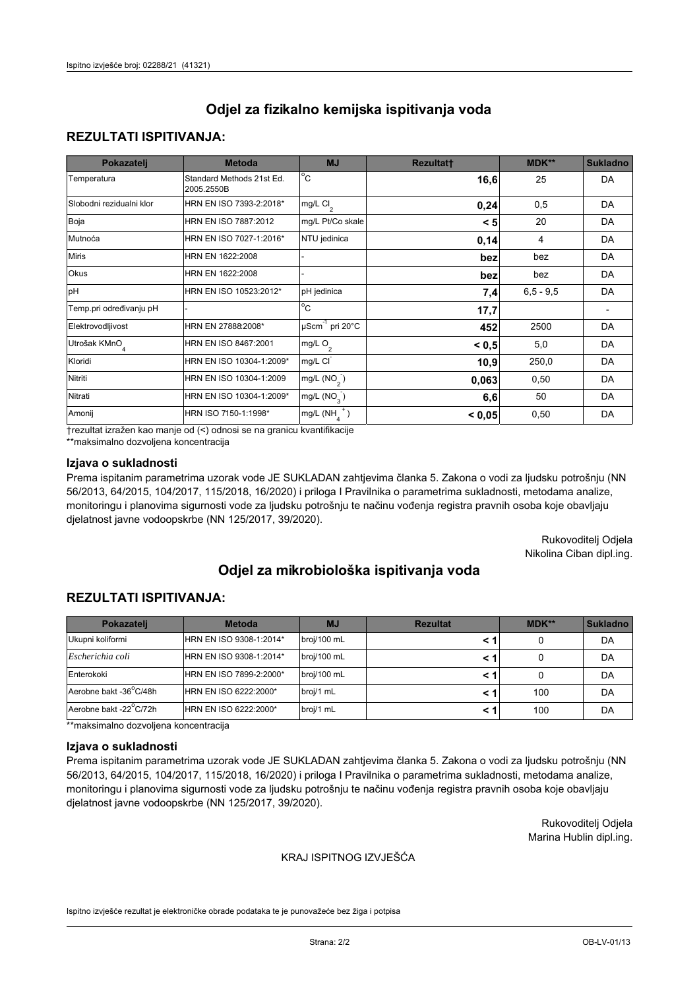### **REZULTATI ISPITIVANJA:**

| Pokazatelj                | <b>Metoda</b>                           | <b>MJ</b>                        | <b>Rezultatt</b> | <b>MDK**</b> | <b>Sukladno</b> |
|---------------------------|-----------------------------------------|----------------------------------|------------------|--------------|-----------------|
| Temperatura               | Standard Methods 21st Ed.<br>2005.2550B | $^{\circ}$ C                     | 16,6             | 25           | DA              |
| Slobodni rezidualni klor  | HRN EN ISO 7393-2:2018*                 | mg/L $Cl2$                       | 0,24             | 0,5          | DA              |
| Boja                      | HRN EN ISO 7887:2012                    | mg/L Pt/Co skale                 | < 5              | 20           | DA              |
| Mutnoća                   | HRN EN ISO 7027-1:2016*                 | NTU jedinica                     | 0,14             | 4            | DA              |
| <b>Miris</b>              | HRN EN 1622:2008                        |                                  | bez              | bez          | DA              |
| Okus                      | HRN EN 1622:2008                        |                                  | bez              | bez          | DA              |
| pH                        | HRN EN ISO 10523:2012*                  | pH jedinica                      | 7,4              | $6.5 - 9.5$  | DA              |
| Temp.pri određivanju pH   |                                         | $\overline{c}$                   | 17,7             |              |                 |
| Elektrovodljivost         | HRN EN 27888:2008*                      | $\mu$ Scm <sup>-1</sup> pri 20°C | 452              | 2500         | DA              |
| Utrošak KMnO <sub>4</sub> | HRN EN ISO 8467:2001                    | mg/L O <sub>2</sub>              | < 0.5            | 5,0          | DA              |
| Kloridi                   | HRN EN ISO 10304-1:2009*                | mg/L CI                          | 10,9             | 250,0        | DA              |
| Nitriti                   | HRN EN ISO 10304-1:2009                 | mg/L $(NO2)$                     | 0,063            | 0,50         | DA              |
| Nitrati                   | HRN EN ISO 10304-1:2009*                | mg/L $(NO_{3})$                  | 6,6              | 50           | DA              |
| Amonij                    | HRN ISO 7150-1:1998*                    | mg/L $(NH_A^+)$                  | < 0,05           | 0,50         | DA              |

trezultat izražen kao manje od (<) odnosi se na granicu kvantifikacije

\*\*maksimalno dozvoljena koncentracija

#### Izjava o sukladnosti

Prema ispitanim parametrima uzorak vode JE SUKLADAN zahtjevima članka 5. Zakona o vodi za ljudsku potrošnju (NN 56/2013, 64/2015, 104/2017, 115/2018, 16/2020) i priloga I Pravilnika o parametrima sukladnosti, metodama analize, monitoringu i planovima sigurnosti vode za ljudsku potrošnju te načinu vođenja registra pravnih osoba koje obavljaju djelatnost javne vodoopskrbe (NN 125/2017, 39/2020).

> Rukovoditelj Odjela Nikolina Ciban dipl.ing.

# Odjel za mikrobiološka ispitivanja voda

## **REZULTATI ISPITIVANJA:**

| Pokazateli             | <b>Metoda</b>           | <b>MJ</b>   | <b>Rezultat</b> | MDK** | <b>Sukladno</b> |
|------------------------|-------------------------|-------------|-----------------|-------|-----------------|
| Ukupni koliformi       | HRN EN ISO 9308-1:2014* | broj/100 mL |                 |       | DA              |
| Escherichia coli       | HRN EN ISO 9308-1:2014* | broj/100 mL |                 |       | DA              |
| Enterokoki             | HRN EN ISO 7899-2:2000* | broj/100 mL |                 |       | DA              |
| Aerobne bakt -36°C/48h | HRN EN ISO 6222:2000*   | broj/1 mL   |                 | 100   | DA              |
| Aerobne bakt -22°C/72h | HRN EN ISO 6222:2000*   | broj/1 mL   |                 | 100   | DA              |

\*\*maksimalno dozvoljena koncentracija

#### Izjava o sukladnosti

Prema ispitanim parametrima uzorak vode JE SUKLADAN zahtjevima članka 5. Zakona o vodi za ljudsku potrošnju (NN 56/2013, 64/2015, 104/2017, 115/2018, 16/2020) i priloga I Pravilnika o parametrima sukladnosti, metodama analize, monitoringu i planovima sigurnosti vode za ljudsku potrošnju te načinu vođenja registra pravnih osoba koje obavljaju djelatnost javne vodoopskrbe (NN 125/2017, 39/2020).

> Rukovoditelj Odjela Marina Hublin dipl.ing.

#### KRAJ ISPITNOG IZVJEŠĆA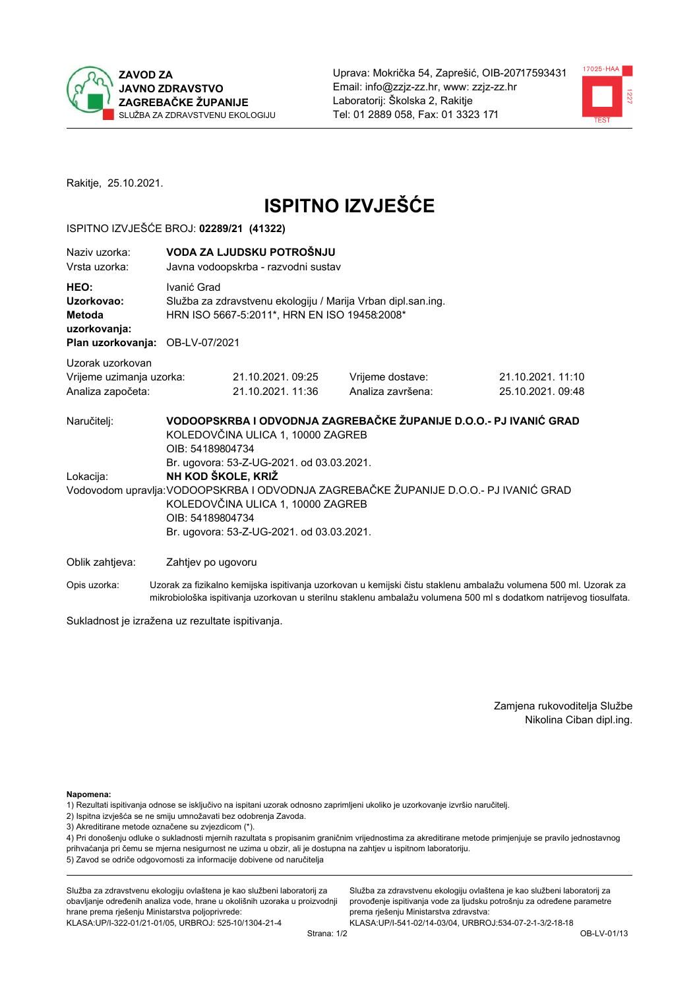



Rakitje, 25.10.2021.

# **ISPITNO IZVJEŠĆE**

#### ISPITNO IZVJEŠĆE BROJ: 02289/21 (41322)

| Naziv uzorka:<br>Vrsta uzorka:                                                  |                    | VODA ZA LJUDSKU POTROŠNJU<br>Javna vodoopskrba - razvodni sustav                                                                               |                                                                   |                                                                                                                  |  |  |  |
|---------------------------------------------------------------------------------|--------------------|------------------------------------------------------------------------------------------------------------------------------------------------|-------------------------------------------------------------------|------------------------------------------------------------------------------------------------------------------|--|--|--|
| HEO:<br>Uzorkovao:<br>Metoda<br>uzorkovanja:<br>Plan uzorkovanja: OB-LV-07/2021 |                    | Ivanić Grad<br>Služba za zdravstvenu ekologiju / Marija Vrban dipl.san.ing.<br>HRN ISO 5667-5:2011*, HRN EN ISO 19458:2008*                    |                                                                   |                                                                                                                  |  |  |  |
| Uzorak uzorkovan                                                                |                    |                                                                                                                                                |                                                                   |                                                                                                                  |  |  |  |
| Vrijeme uzimanja uzorka:                                                        |                    | 21.10.2021.09:25                                                                                                                               | Vrijeme dostave:                                                  | 21.10.2021.11:10                                                                                                 |  |  |  |
| Analiza započeta:                                                               |                    | 21.10.2021. 11:36                                                                                                                              | Analiza završena:                                                 | 25.10.2021.09:48                                                                                                 |  |  |  |
| Naručitelj:                                                                     | OIB: 54189804734   | KOLEDOVČINA ULICA 1, 10000 ZAGREB<br>Br. ugovora: 53-Z-UG-2021. od 03.03.2021.                                                                 | VODOOPSKRBA I ODVODNJA ZAGREBAČKE ŽUPANIJE D.O.O.- PJ IVANIĆ GRAD |                                                                                                                  |  |  |  |
| Lokacija:                                                                       |                    | NH KOD ŠKOLE, KRIŽ                                                                                                                             |                                                                   |                                                                                                                  |  |  |  |
|                                                                                 |                    | Vodovodom upravlja: VODOOPSKRBA I ODVODNJA ZAGREBAČKE ŽUPANIJE D.O.O.- PJ IVANIĆ GRAD<br>KOLEDOVČINA ULICA 1, 10000 ZAGREB<br>OIB: 54189804734 |                                                                   |                                                                                                                  |  |  |  |
|                                                                                 |                    | Br. ugovora: 53-Z-UG-2021. od 03.03.2021.                                                                                                      |                                                                   |                                                                                                                  |  |  |  |
| Oblik zahtjeva:                                                                 | Zahtjev po ugovoru |                                                                                                                                                |                                                                   |                                                                                                                  |  |  |  |
| Opis uzorka:                                                                    |                    |                                                                                                                                                |                                                                   | Uzorak za fizikalno kemijska ispitivanja uzorkovan u kemijski čistu staklenu ambalažu volumena 500 ml. Uzorak za |  |  |  |

mikrobiološka ispitivanja uzorkovan u sterilnu staklenu ambalažu volumena 500 ml s dodatkom natrijevog tiosulfata.

Sukladnost je izražena uz rezultate ispitivanja.

Zamjena rukovoditelja Službe Nikolina Ciban dipl.ing.

Napomena:

1) Rezultati ispitivanja odnose se isključivo na ispitani uzorak odnosno zaprimljeni ukoliko je uzorkovanje izvršio naručitelj.

- 2) Ispitna izvješća se ne smiju umnožavati bez odobrenja Zavoda.
- 3) Akreditirane metode označene su zvjezdicom (\*).

4) Pri donošenju odluke o sukladnosti mjernih razultata s propisanim graničnim vrijednostima za akreditirane metode primjenjuje se pravilo jednostavnog prihvaćanja pri čemu se mjerna nesigurnost ne uzima u obzir, ali je dostupna na zahtjev u ispitnom laboratoriju. 5) Zavod se odriče odgovornosti za informacije dobivene od naručitelja

Služba za zdravstvenu ekologiju ovlaštena je kao službeni laboratorij za obavljanje određenih analiza vode, hrane u okolišnih uzoraka u proizvodnji hrane prema rješenju Ministarstva poljoprivrede: KLASA: UP/I-322-01/21-01/05, URBROJ: 525-10/1304-21-4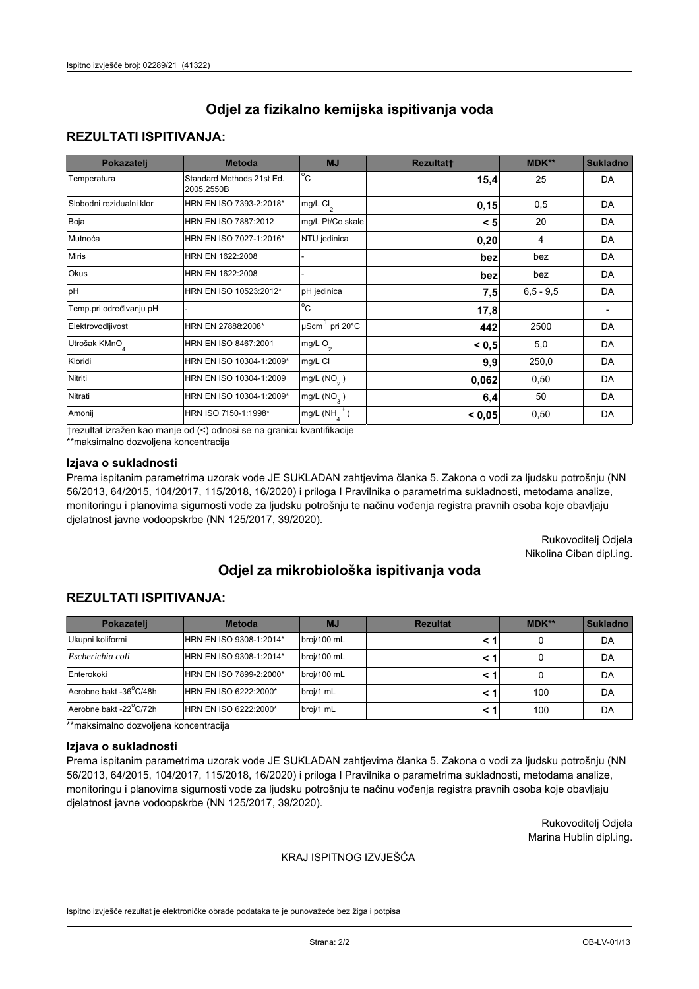## **REZULTATI ISPITIVANJA:**

| Pokazatelj                | <b>Metoda</b>                           | <b>MJ</b>                   | <b>Rezultatt</b> | MDK**       | <b>Sukladno</b> |
|---------------------------|-----------------------------------------|-----------------------------|------------------|-------------|-----------------|
| Temperatura               | Standard Methods 21st Ed.<br>2005.2550B | $^{\circ}$ C                | 15,4             | 25          | DA              |
| Slobodni rezidualni klor  | HRN EN ISO 7393-2:2018*                 | $mg/L$ Cl <sub>2</sub>      | 0,15             | 0,5         | DA              |
| Boja                      | HRN EN ISO 7887:2012                    | mg/L Pt/Co skale            | < 5              | 20          | DA              |
| Mutnoća                   | HRN EN ISO 7027-1:2016*                 | NTU jedinica                | 0,20             | 4           | DA              |
| <b>Miris</b>              | HRN EN 1622:2008                        |                             | bez              | bez         | DA              |
| Okus                      | HRN EN 1622:2008                        |                             | bez              | bez         | DA              |
| pH                        | HRN EN ISO 10523:2012*                  | pH jedinica                 | 7,5              | $6,5 - 9,5$ | DA              |
| Temp.pri određivanju pH   |                                         | $\overline{c}$              | 17,8             |             |                 |
| Elektrovodljivost         | HRN EN 27888:2008*                      | µScm <sup>-1</sup> pri 20°C | 442              | 2500        | DA              |
| Utrošak KMnO <sub>4</sub> | HRN EN ISO 8467:2001                    | mg/L O <sub>2</sub>         | < 0.5            | 5,0         | DA              |
| Kloridi                   | HRN EN ISO 10304-1:2009*                | mg/L CI                     | 9,9              | 250,0       | DA              |
| Nitriti                   | HRN EN ISO 10304-1:2009                 | mg/L $(NO2)$                | 0,062            | 0,50        | DA              |
| Nitrati                   | HRN EN ISO 10304-1:2009*                | mg/L (NO <sub>3</sub> )     | 6,4              | 50          | DA              |
| Amonij                    | HRN ISO 7150-1:1998*                    | $mg/L(NH_A^+)$              | < 0,05           | 0,50        | DA              |

trezultat izražen kao manje od (<) odnosi se na granicu kvantifikacije

\*\*maksimalno dozvoljena koncentracija

#### Izjava o sukladnosti

Prema ispitanim parametrima uzorak vode JE SUKLADAN zahtjevima članka 5. Zakona o vodi za ljudsku potrošnju (NN 56/2013, 64/2015, 104/2017, 115/2018, 16/2020) i priloga I Pravilnika o parametrima sukladnosti, metodama analize, monitoringu i planovima sigurnosti vode za ljudsku potrošnju te načinu vođenja registra pravnih osoba koje obavljaju djelatnost javne vodoopskrbe (NN 125/2017, 39/2020).

> Rukovoditelj Odjela Nikolina Ciban dipl.ing.

# Odjel za mikrobiološka ispitivanja voda

## **REZULTATI ISPITIVANJA:**

| Pokazatelj             | <b>Metoda</b>           | <b>MJ</b>   | <b>Rezultat</b> | MDK** | <b>Sukladno</b> |
|------------------------|-------------------------|-------------|-----------------|-------|-----------------|
| Ukupni koliformi       | HRN EN ISO 9308-1:2014* | broj/100 mL |                 |       | DA              |
| Escherichia coli       | HRN EN ISO 9308-1:2014* | broj/100 mL |                 |       | DA              |
| Enterokoki             | HRN EN ISO 7899-2:2000* | broj/100 mL |                 |       | DA              |
| Aerobne bakt -36°C/48h | HRN EN ISO 6222:2000*   | broj/1 mL   |                 | 100   | DA              |
| Aerobne bakt -22°C/72h | HRN EN ISO 6222:2000*   | broj/1 mL   |                 | 100   | DA              |

\*\*maksimalno dozvoljena koncentracija

#### Izjava o sukladnosti

Prema ispitanim parametrima uzorak vode JE SUKLADAN zahtjevima članka 5. Zakona o vodi za ljudsku potrošnju (NN 56/2013, 64/2015, 104/2017, 115/2018, 16/2020) i priloga I Pravilnika o parametrima sukladnosti, metodama analize, monitoringu i planovima sigurnosti vode za ljudsku potrošnju te načinu vođenja registra pravnih osoba koje obavljaju djelatnost javne vodoopskrbe (NN 125/2017, 39/2020).

> Rukovoditelj Odjela Marina Hublin dipl.ing.

#### KRAJ ISPITNOG IZVJEŠĆA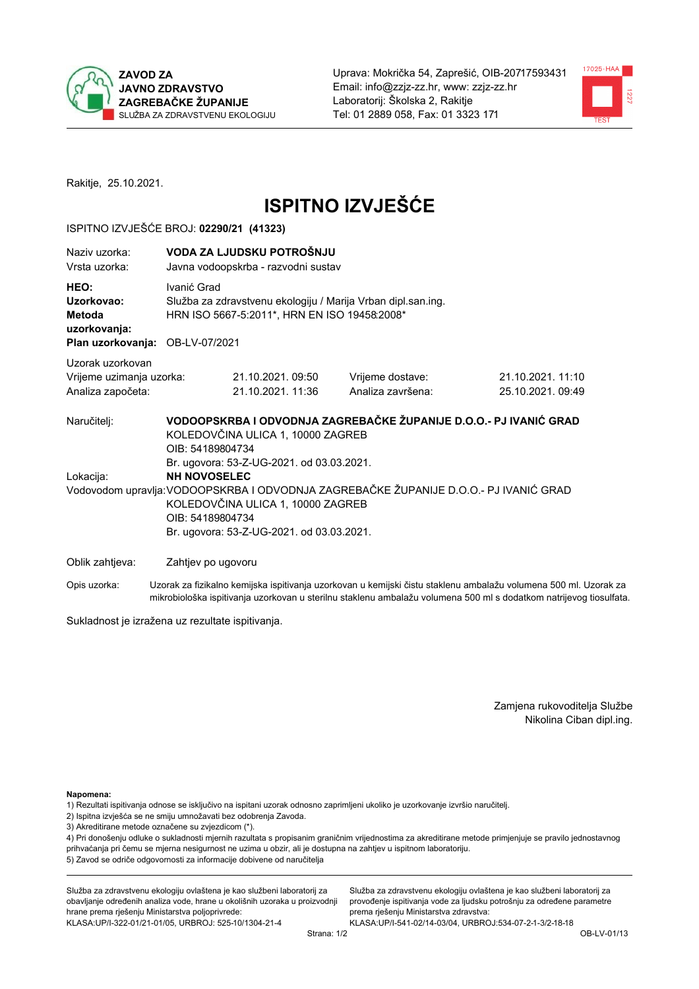



Rakitje, 25.10.2021.

# **ISPITNO IZVJEŠĆE**

#### ISPITNO IZVJEŠĆE BROJ: 02290/21 (41323)

| Naziv uzorka:<br>Vrsta uzorka:                                                  |                                         | VODA ZA LJUDSKU POTROŠNJU<br>Javna vodoopskrba - razvodni sustav                                               |                                                                                       |                                      |  |  |
|---------------------------------------------------------------------------------|-----------------------------------------|----------------------------------------------------------------------------------------------------------------|---------------------------------------------------------------------------------------|--------------------------------------|--|--|
| HEO:<br>Uzorkovao:<br>Metoda<br>uzorkovanja:<br>Plan uzorkovanja: OB-LV-07/2021 | Ivanić Grad                             | Služba za zdravstvenu ekologiju / Marija Vrban dipl.san.ing.<br>HRN ISO 5667-5:2011*, HRN EN ISO 19458:2008*   |                                                                                       |                                      |  |  |
| Uzorak uzorkovan<br>Vrijeme uzimanja uzorka:<br>Analiza započeta:               |                                         | 21.10.2021. 09:50<br>21.10.2021. 11:36                                                                         | Vrijeme dostave:<br>Analiza završena:                                                 | 21.10.2021.11:10<br>25.10.2021.09:49 |  |  |
| Naručitelj:<br>Lokacija:                                                        | OIB: 54189804734<br><b>NH NOVOSELEC</b> | KOLEDOVČINA ULICA 1, 10000 ZAGREB<br>Br. ugovora: 53-Z-UG-2021. od 03.03.2021.                                 | VODOOPSKRBA I ODVODNJA ZAGREBAČKE ŽUPANIJE D.O.O.- PJ IVANIĆ GRAD                     |                                      |  |  |
|                                                                                 | OIB: 54189804734                        | KOLEDOVČINA ULICA 1, 10000 ZAGREB<br>Br. ugovora: 53-Z-UG-2021. od 03.03.2021.                                 | Vodovodom upravlja: VODOOPSKRBA I ODVODNJA ZAGREBAČKE ŽUPANIJE D.O.O.- PJ IVANIĆ GRAD |                                      |  |  |
| Oblik zahtjeva:                                                                 | Zahtjev po ugovoru                      | ra a shekara ta 1970, a shekara ta 1980, a shekara ta 1980, a shekara ta 1981, a shekara ta 1981, a shekara ta |                                                                                       |                                      |  |  |

Opis uzorka: Uzorak za fizikalno kemijska ispitivanja uzorkovan u kemijski čistu staklenu ambalažu volumena 500 ml. Uzorak za mikrobiološka ispitivanja uzorkovan u sterilnu staklenu ambalažu volumena 500 ml s dodatkom natrijevog tiosulfata.

Sukladnost je izražena uz rezultate ispitivanja.

Zamjena rukovoditelja Službe Nikolina Ciban dipl.ing.

Napomena:

1) Rezultati ispitivanja odnose se isključivo na ispitani uzorak odnosno zaprimljeni ukoliko je uzorkovanje izvršio naručitelj.

- 2) Ispitna izvješća se ne smiju umnožavati bez odobrenja Zavoda.
- 3) Akreditirane metode označene su zvjezdicom (\*).

4) Pri donošenju odluke o sukladnosti mjernih razultata s propisanim graničnim vrijednostima za akreditirane metode primjenjuje se pravilo jednostavnog prihvaćanja pri čemu se mjerna nesigurnost ne uzima u obzir, ali je dostupna na zahtjev u ispitnom laboratoriju. 5) Zavod se odriče odgovornosti za informacije dobivene od naručitelja

Služba za zdravstvenu ekologiju ovlaštena je kao službeni laboratorij za obavljanje određenih analiza vode, hrane u okolišnih uzoraka u proizvodnji hrane prema rješenju Ministarstva poljoprivrede: KLASA: UP/I-322-01/21-01/05, URBROJ: 525-10/1304-21-4